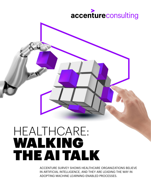# accentureconsulting

# HEALTHCARE: WALKING THE AI TALK

ACCENTURE SURVEY SHOWS HEALTHCARE ORGANIZATIONS BELIEVE IN ARTIFICIAL INTELLIGENCE, AND THEY ARE LEADING THE WAY IN ADOPTING MACHINE LEARNING-ENABLED PROCESSES.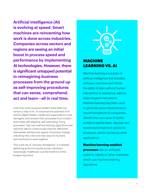**Artificial intelligence (AI) is evolving at speed. Smart machines are reinventing how work is done across industries. Companies across sectors and regions are seeing an initial boost in process speed and performance by implementing AI technologies. However, there is significant untapped potential in reimagining business processes from the ground up as self-improving procedures that can sense, comprehend, act and learn—all in real time.**

Until now, many business leaders have taken too narrow a view of AI. To maximize the potential of AI and be digital leaders, healthcare organizations must reimagine and reinvent their processes from scratch and create self-adapting, self-optimizing "living processes" that use machine learning algorithms and real-time data to continuously improve. Machines themselves will become agents of process change, unlocking new roles and new ways for humans and machines to work together.

This is the era of "process reimagined." It is already delivering profound results across industries. Surprisingly, healthcare is at the forefront of this burgeoning trend.

### MACHINE LEARNING VS. AI

Machine learning is a subset of artificial intelligence that provides software, machines and robots the ability to learn without human intervention or assistance, without static program instructions. Machine learning has been used to generate personalized product recommendations to consumers, identify the root cause of quality problems and fix them, discover and recommend treatment options to physicians, and in numerous other applications.

### Machine learning-enabled

**processes** rely on software, systems, robots or other machines which use machine learning algorithms.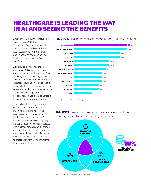### **HEALTHCARE IS LEADING THE WAY IN AI AND SEEING THE BENEFITS**

Among the 13 industries included in the Accenture 2017 Process Reimagined Survey, Healthcare is tied with Mining and Minerals for No. 1 overall (see Figure 1). Retail and Telecom follow close behind. Healthcare ranks No. 1 in Process and Data.

About 15 percent of healthcare companies (US payers, providers and pharmacy benefit managers) are applying machine learning across three dimensions: Process, people and data (see Figure 2). These healthcare respondents in the process reimagined phase are moving beyond automation to take full advantage of AI. The process reimagined average across all industries surveyed was 9 percent.

Among healthcare organizations surveyed, 42 percent are using machine learning to reimagine processes and process change. Furthermore, 42 percent of US healthcare firms surveyed say they are using machine learning in at least one business process and 42 percent are using it to transform the humanmachine work relationship. More than half (52) percent are harnessing data to create exponential improvements in speed and KPIs.

#### **FIGURE 1.** Healthcare ranks at the top among industry use of AI



Source: Accenture 2017 Process Reimagined Survey

#### **FIGURE 2.** Leading organizations are applying machine learning across three overlapping dimensions



Source: Accenture 2017 Process Reimagined Survey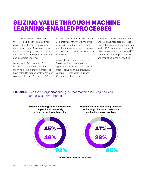### **SEIZING VALUE THROUGH MACHINE LEARNING-ENABLED PROCESSES**

Some AI initiatives are pilots and therefore deliver benefits on a small scale. But healthcare organizations are thinking bigger. Many report that machine learning-enabled processes are reducing costs/improving revenue and also improving KPIs.

More than half (51 percent) of healthcare organizations say that machine learning-enabled processes have helped to reduce costs to "service products after sales" by at least 50

percent. Many healthcare respondents (65 percent) say they have improved revenue by 10-20 percent by using machine learning-enabled processes to "understand markets, customers and capabilities."

Almost all healthcare respondents (93 percent) "strongly agree" or "agree" that machine learning-enabled processes help achieve previously hidden or unobtainable value and 86 percent believe these processes

are finding solutions to previously unsolved business problems (see Figure 3). A majority (91 percent) are seeing 200 percent improvement in KPIs in enterprise processes, and 77 percent are doubling KPIs for sales and marketing in the front office.

#### **FIGURE 3.** Healthcare organizations agree that machine learning-enabled processes deliver benefits



STRONGLY AGREE @ AGREE

Source: Accenture 2017 Process Reimagined Survey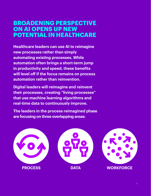### **BROADENING PERSPECTIVE ON AI OPENS UP NEW POTENTIAL IN HEALTHCARE**

**Healthcare leaders can use AI to reimagine new processes rather than simply automating existing processes. While automation often brings a short-term jump in productivity and speed, these benefits will level off if the focus remains on process automation rather than reinvention.** 

**Digital leaders will reimagine and reinvent their processes, creating "living processes" that use machine learning algorithms and real-time data to continuously improve.** 

**The leaders in the process reimagined phase are focusing on three overlapping areas:**

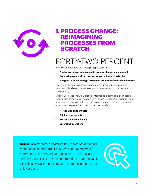

### **1. PROCESS CHANGE: REIMAGINING PROCESSES FROM SCRATCH**

## FORTY-TWO PERCENT

of health organizations are reimagining processes by:

- **• Applying artificial intelligence to process change management**
- **• Rethinking standardized processes as continuously adaptive**
- **• Bringing AI-based change to multiple processes across the enterprise**

Health respondents in significant numbers are using or piloting machine learning-enabled processes across several business process categories (see Figure 4).

Multiple use cases show that artificial intelligence is being applied in healthspecific processes such as supporting clinicians in preliminary diagnosis and treatment, and even generic enterprise processes such as sales, pricing and enterprise operations. Supported processes include:

- **• Personalized patient care**
- **• Clinical connectivity**
- **• Security and compliance**
- **• Enterprise operations**

[Ayasdi](https://www.ayasdi.com/solutions/clinical-variation-management/) uses machine learning to analyze electronic medical record data and perform clinical variation management for common surgical procedures. The platform automatically surfaces groups of similar patient procedures and generates clinical pathways that could result in better patient outcomes at lower costs.

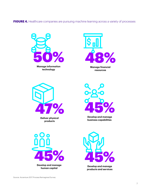**FIGURE 4.** Healthcare companies are pursuing machine learning across a variety of processes



**Develop and manage products and services**

Source: Accenture 2017 Process Reimagined Survey

**human capital**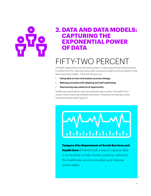### **2. DATA AND DATA MODELS: CAPTURING THE EXPONENTIAL POWER OF DATA**

# FIFTY-TWO PERCENT

of health organizations are harnessing data to create exponential improvements in speed and KPIs, help solve previously unsolved problems and see patterns that were previously hidden. There are doing so by:

- **• Using data to train and sustain process change**
- **• Making processes self-adapting and self-optimizing**
- **• Discovering new patterns of opportunity**

Healthcare respondents reported experiencing a variety of benefits from using machine learning-enabled processes, including cost savings across several processes (see Figure 5).



[Tampere City Department of Social Services and](http://avigilon.com/case-studies/tampere-city-department-of-social-services-and-health-care/)  **Health Care** (Finland) built a way to capture data in its facilities to help monitor patients, enhance the healthcare service provided, and improve onsite safety.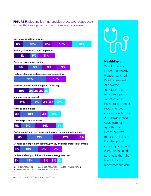**FIGURE 5.** Machine learning-enabled processes reduce costs for healthcare organizations across several processes



#### **HealthTap**, a

World Economic Forum Technology Pioneer, launched [Dr. A.I.](https://medium.com/@HealthTap/dr-a-i-80b4cf06be30), a personal AI-powered "physician" that translates a person's symptoms into personalized, doctorrecommended courses of action. Dr. A.I. uses advanced deep learning algorithms and HealthTap's vast repository of doctor knowledge and data to apply clinical expertise and guide patients to the right level of doctorrecommended care.

Source: Accenture 2017 Process Reimagined Survey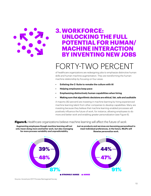

### **3. WORKFORCE: UNLOCKING THE FULL POTENTIAL FOR HUMAN/ MACHINE INTERACTION BY INVENTING NEW JOBS**

## FORTY-TWO PERCEI

of healthcare organizations are redesigning jobs to emphasize distinctive human skills and human-machine augmentation. They are transforming the humanmachine relationship by focusing on four areas:

- **• Enlisting the C-Suite to remake the culture with AI**
- **• Helping employees keep pace**
- **• Emphasizing distinctively human capabilities when hiring**
- **• Making sure that algorithmic decisions are ethical, fair, safe and auditable**

A majority (82 percent) are investing in machine learning by hiring experienced machine learning talent from other companies to develop capabilities. Many are investing because they believe that machine learning-enabled processes will positively influence the future of work, for instance, allowing employees to do more and better work and enabling greater personalization (see Figure 6).

#### Figure 6. Healthcare organizations believe machine learning will affect the future of work

**Augmenting employees though machine learning will not only mean doing more and better work, but also managing far more process variability and unpredictability.**







**STRONGLY AGREE @ AGREE**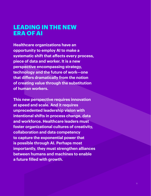### **LEADING IN THE NEW ERA OF AI**

**Healthcare organizations have an opportunity to employ AI to make a systematic shift that affects every process, piece of data and worker. It is a new perspective encompassing strategy, technology and the future of work—one that differs dramatically from the notion of creating value through the substitution of human workers.** 

**This new perspective requires innovation at speed and scale. And it requires unprecedented leadership vision with intentional shifts in process change, data and workforce. Healthcare leaders must foster organizational cultures of creativity, collaboration and data competency to capture the exponential power that is possible through AI. Perhaps most importantly, they must strengthen alliances between humans and machines to enable a future filled with growth.**